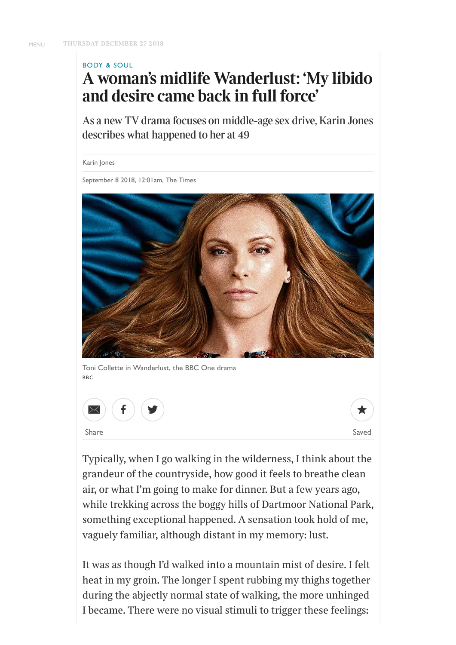### <span id="page-0-0"></span>BODY & SOUL

# **A woman's midlife Wanderlust: 'My libido and desire came back in full force'**

As a new TV drama focuses on middle-age sex drive, Karin Jones describes what happened to her at 49

Karin Jones

September 8 2018, 12:01am, The Times



Toni Collette in Wanderlust, the BBC One drama BBC





*Typically, when I go walking in the wilderness, I think about the grandeur of the countryside, how good it feels to breathe clean air, or what I'm going to make for dinner. But a few years ago, while trekking across the boggy hills of Dartmoor National Park, something exceptional happened. A sensation took hold of me, vaguely familiar, although distant in my memory: lust.*

*It was as though I'd walked into a mountain mist of desire. I felt heat in my groin. The longer I spent rubbing my thighs together during the abjectly normal state of walking, the more unhinged I became. There were no visual stimuli to trigger these feelings:*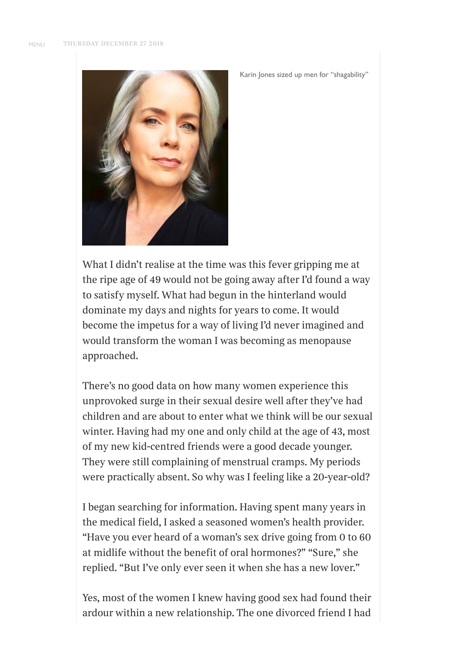

*What I didn't realise at the time was this fever gripping me at the ripe age of 49 would not be going away after I'd found a way to satisfy myself. What had begun in the hinterland would dominate my days and nights for years to come. It would become the impetus for a way of living I'd never imagined and would transform the woman I was becoming as menopause approached.*

Karin Jones sized up men for "shagability"

*There's no good data on how many women experience this unprovoked surge in their sexual desire well after they've had children and are about to enter what we think will be our sexual winter. Having had my one and only child at the age of 43, most of my new kid-centred friends were a good decade younger. They were still complaining of menstrual cramps. My periods were practically absent. So why was I feeling like a 20-year-old?*

*I began searching for information. Having spent many years in the medical field, I asked a seasoned women's health provider. "Have you ever heard of a woman's sex drive going from 0 to 60 at midlife without the benefit of oral hormones?" "Sure," she replied. "But I've only ever seen it when she has a new lover."*

*Yes, most of the women I knew having good sex had found their ardour within a new relationship. The one divorced friend I had*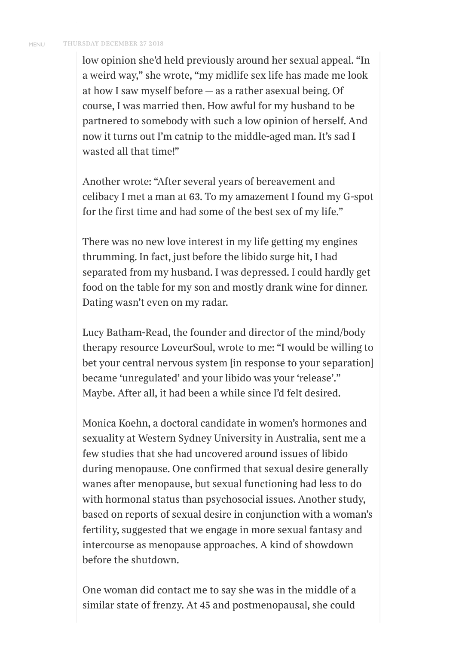*low opinion she'd held previously around her sexual appeal. "In a weird way," she wrote, "my midlife sex life has made me look at how I saw myself before — as a rather asexual being. Of course, I was married then. How awful for my husband to be partnered to somebody with such a low opinion of herself. And now it turns out I'm catnip to the middle-aged man. It's sad I wasted all that time!"*

*Another wrote: "After several years of bereavement and celibacy I met a man at 63. To my amazement I found my G-spot for the first time and had some of the best sex of my life."*

*There was no new love interest in my life getting my engines thrumming. In fact, just before the libido surge hit, I had separated from my husband. I was depressed. I could hardly get food on the table for my son and mostly drank wine for dinner. Dating wasn't even on my radar.*

*Lucy Batham-Read, the founder and director of the mind/body therapy resource LoveurSoul, wrote to me: "I would be willing to bet your central nervous system [in response to your separation] became 'unregulated' and your libido was your 'release'." Maybe. After all, it had been a while since I'd felt desired.*

*Monica Koehn, a doctoral candidate in women's hormones and sexuality at Western Sydney University in Australia, sent me a few studies that she had uncovered around issues of libido during menopause. One confirmed that sexual desire generally wanes after menopause, but sexual functioning had less to do with hormonal status than psychosocial issues. Another study, based on reports of sexual desire in conjunction with a woman's fertility, suggested that we engage in more sexual fantasy and intercourse as menopause approaches. A kind of showdown before the shutdown.*

*One woman did contact me to say she was in the middle of a similar state of frenzy. At 45 and postmenopausal, she could*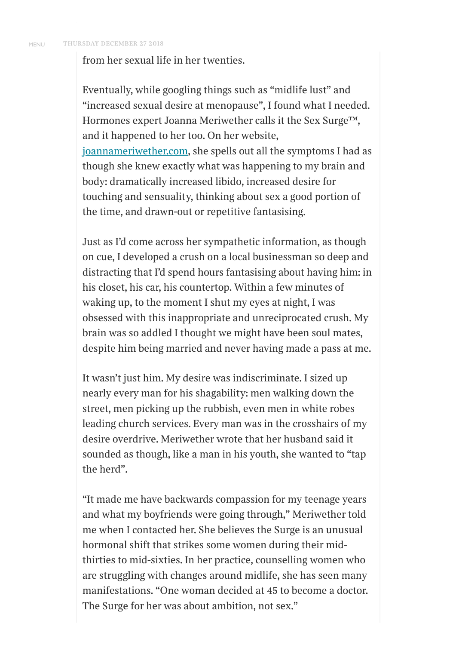*from her sexual life in her twenties.*

*Eventually, while googling things such as "midlife lust" and "increased sexual desire at menopause", I found what I needed. Hormones expert Joanna Meriwether calls it the Sex Surge™, and it happened to her too. On her website, [joannameriwether.com](http://joannameriwether.com/), she spells out all the symptoms I had as though she knew exactly what was happening to my brain and body: dramatically increased libido, increased desire for touching and sensuality, thinking about sex a good portion of the time, and drawn-out or repetitive fantasising.*

*Just as I'd come across her sympathetic information, as though on cue, I developed a crush on a local businessman so deep and distracting that I'd spend hours fantasising about having him: in his closet, his car, his countertop. Within a few minutes of waking up, to the moment I shut my eyes at night, I was obsessed with this inappropriate and unreciprocated crush. My brain was so addled I thought we might have been soul mates, despite him being married and never having made a pass at me.*

*It wasn't just him. My desire was indiscriminate. I sized up nearly every man for his shagability: men walking down the street, men picking up the rubbish, even men in white robes leading church services. Every man was in the crosshairs of my desire overdrive. Meriwether wrote that her husband said it sounded as though, like a man in his youth, she wanted to "tap the herd".*

*"It made me have backwards compassion for my teenage years and what my boyfriends were going through," Meriwether told me when I contacted her. She believes the Surge is an unusual hormonal shift that strikes some women during their midthirties to mid-sixties. In her practice, counselling women who are struggling with changes around midlife, she has seen many manifestations. "One woman decided at 45 to become a doctor. The Surge for her was about ambition, not sex."*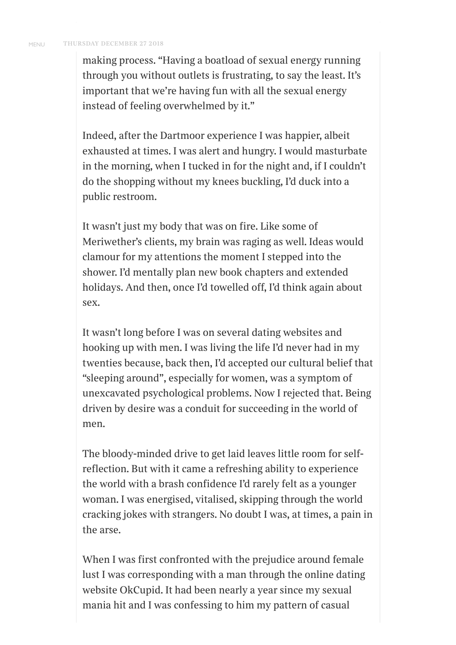*making process. "Having a boatload of sexual energy running through you without outlets is frustrating, to say the least. It's important that we're having fun with all the sexual energy instead of feeling overwhelmed by it."*

*Indeed, after the Dartmoor experience I was happier, albeit exhausted at times. I was alert and hungry. I would masturbate in the morning, when I tucked in for the night and, if I couldn't do the shopping without my knees buckling, I'd duck into a public restroom.*

*It wasn't just my body that was on fire. Like some of Meriwether's clients, my brain was raging as well. Ideas would clamour for my attentions the moment I stepped into the shower. I'd mentally plan new book chapters and extended holidays. And then, once I'd towelled o, I'd think again about sex.*

*It wasn't long before I was on several dating websites and hooking up with men. I was living the life I'd never had in my twenties because, back then, I'd accepted our cultural belief that "sleeping around", especially for women, was a symptom of unexcavated psychological problems. Now I rejected that. Being driven by desire was a conduit for succeeding in the world of men.*

*The bloody-minded drive to get laid leaves little room for selfreflection. But with it came a refreshing ability to experience the world with a brash confidence I'd rarely felt as a younger woman. I was energised, vitalised, skipping through the world cracking jokes with strangers. No doubt I was, at times, a pain in the arse.*

*When I was first confronted with the prejudice around female lust I was corresponding with a man through the online dating website OkCupid. It had been nearly a year since my sexual mania hit and I was confessing to him my pattern of casual*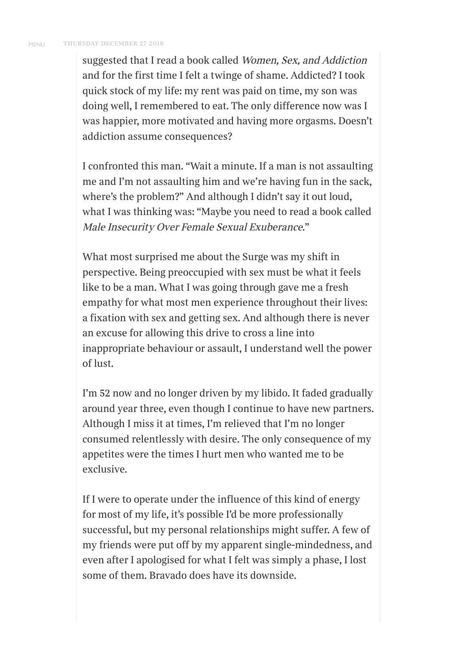*suggested that I read a book called Women, Sex, and Addiction and for the first time I felt a twinge of shame. Addicted? I took quick stock of my life: my rent was paid on time, my son was doing well, I remembered to eat. The only dierence now was I was happier, more motivated and having more orgasms. Doesn't addiction assume consequences?*

*I confronted this man. "Wait a minute. If a man is not assaulting me and I'm not assaulting him and we're having fun in the sack, where's the problem?" And although I didn't say it out loud, what I was thinking was: "Maybe you need to read a book called Male Insecurity Over Female Sexual Exuberance."*

*What most surprised me about the Surge was my shift in perspective. Being preoccupied with sex must be what it feels like to be a man. What I was going through gave me a fresh empathy for what most men experience throughout their lives: a fixation with sex and getting sex. And although there is never an excuse for allowing this drive to cross a line into inappropriate behaviour or assault, I understand well the power of lust.*

*I'm 52 now and no longer driven by my libido. It faded gradually around year three, even though I continue to have new partners. Although I miss it at times, I'm relieved that I'm no longer consumed relentlessly with desire. The only consequence of my appetites were the times I hurt men who wanted me to be exclusive.*

*If I were to operate under the influence of this kind of energy for most of my life, it's possible I'd be more professionally successful, but my personal relationships might suer. A few of my friends were put o by my apparent single-mindedness, and even after I apologised for what I felt was simply a phase, I lost some of them. Bravado does have its downside.*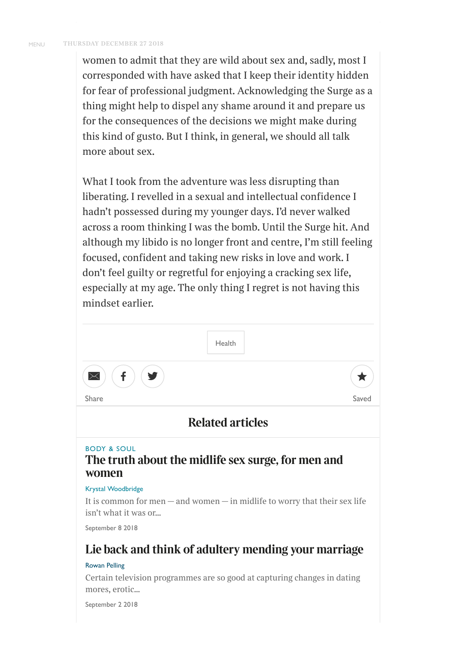*women to admit that they are wild about sex and, sadly, most I corresponded with have asked that I keep their identity hidden for fear of professional judgment. Acknowledging the Surge as a thing might help to dispel any shame around it and prepare us for the consequences of the decisions we might make during this kind of gusto. But I think, in general, we should all talk more about sex.*

*What I took from the adventure was less disrupting than liberating. I revelled in a sexual and intellectual confidence I hadn't possessed during my younger days. I'd never walked across a room thinking I was the bomb. Until the Surge hit. And although my libido is no longer front and centre, I'm still feeling focused, confident and taking new risks in love and work. I don't feel guilty or regretful for enjoying a cracking sex life, especially at my age. The only thing I regret is not having this mindset earlier.*



### BODY & SOUL **The truth about the midlife sex surge, for men and [women](https://www.thetimes.co.uk/article/the-truth-about-the-midlife-sex-surge-for-men-and-women-j03sj5q3p)**

### Krystal Woodbridge

*It is common for men — and women — in midlife to worry that their sex life isn't what it was or...*

September 8 2018

## **Lie back and think of adultery mending your [marriage](https://www.thetimes.co.uk/article/rowan-pelling-on-wanderlust-lie-back-and-think-of-adultery-mending-your-marriage-3jnlvf875)**

### Rowan Pelling

*Certain television programmes are so good at capturing changes in dating mores, erotic...*

September 2 2018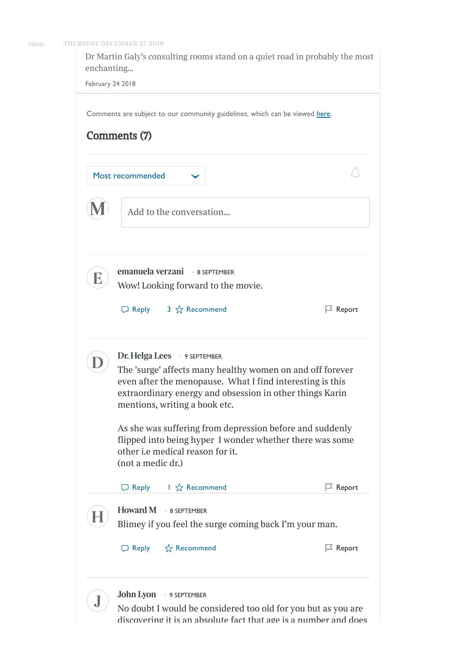

*Dr Martin Galy's consulting rooms stand on a quiet road in probably the most enchanting...*

February 24 2018

Comments are subject to our community guidelines, which can be viewed [here.](https://www.thetimes.co.uk/article/f4024fbe-d989-11e6-9063-500e6740fc32)

| Comments (7) |  |
|--------------|--|
|--------------|--|

Most recommended



**M** *Add to the conversation...*

· 8 SEPTEMBER **emanuela verzani** *Wow! Looking forward to the movie.*

 $\Box$  Reply 3  $\frac{A}{A}$  Recommend



**E**

· 9 SEPTEMBER **Dr. Helga Lees**

*The* 'surge' affects many healthy women on and off forever *even after the menopause. What I find interesting is this extraordinary energy and obsession in other things Karin mentions, writing a book etc.*

 $\Box$  Report

 $\bigcap$ 

*As she was suering from depression before and suddenly flipped into being hyper I wonder whether there was some other i.e medical reason for it. (not a medic dr.)*



**John Lyon**

· 9 SEPTEMBER **J** *No doubt I would be considered too old for you but as you are discovering it is an absolute fact that age is a number and does*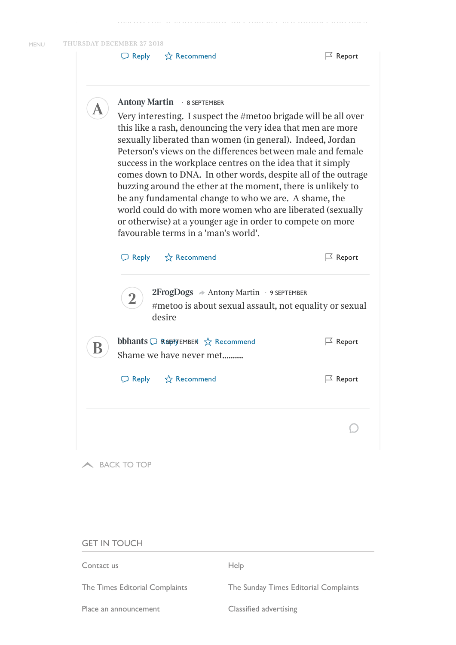$\Box$  Reply  $\overleftrightarrow{\chi}$  Recommend

|                     | Antony Martin • 8 SEPTEMBER<br>Very interesting. I suspect the #metoo brigade will be all over<br>this like a rash, denouncing the very idea that men are more<br>sexually liberated than women (in general). Indeed, Jordan<br>Peterson's views on the differences between male and female<br>success in the workplace centres on the idea that it simply<br>comes down to DNA. In other words, despite all of the outrage<br>buzzing around the ether at the moment, there is unlikely to<br>be any fundamental change to who we are. A shame, the<br>world could do with more women who are liberated (sexually<br>or otherwise) at a younger age in order to compete on more<br>favourable terms in a 'man's world'. |                    |  |
|---------------------|--------------------------------------------------------------------------------------------------------------------------------------------------------------------------------------------------------------------------------------------------------------------------------------------------------------------------------------------------------------------------------------------------------------------------------------------------------------------------------------------------------------------------------------------------------------------------------------------------------------------------------------------------------------------------------------------------------------------------|--------------------|--|
|                     | $\Box$ Reply $\hat{X}$ Recommend                                                                                                                                                                                                                                                                                                                                                                                                                                                                                                                                                                                                                                                                                         | $\Box$ Report      |  |
|                     | $2FrogDogs \rightarrow$ Antony Martin $\cdot$ 9 SEPTEMBER<br>#metoo is about sexual assault, not equality or sexual<br>desire                                                                                                                                                                                                                                                                                                                                                                                                                                                                                                                                                                                            |                    |  |
|                     | <b>bbhants</b> $\bigcirc$ <b>Reepy EMBER</b> $\sqrt{x}$ Recommend<br>Shame we have never met                                                                                                                                                                                                                                                                                                                                                                                                                                                                                                                                                                                                                             | $\vert\leq$ Report |  |
|                     | □ Reply ☆ Recommend                                                                                                                                                                                                                                                                                                                                                                                                                                                                                                                                                                                                                                                                                                      | $\mathbb E$ Report |  |
|                     |                                                                                                                                                                                                                                                                                                                                                                                                                                                                                                                                                                                                                                                                                                                          |                    |  |
|                     | <b>BACK TO TOP</b>                                                                                                                                                                                                                                                                                                                                                                                                                                                                                                                                                                                                                                                                                                       |                    |  |
| <b>GET IN TOUCH</b> |                                                                                                                                                                                                                                                                                                                                                                                                                                                                                                                                                                                                                                                                                                                          |                    |  |
| Contact us          | Help                                                                                                                                                                                                                                                                                                                                                                                                                                                                                                                                                                                                                                                                                                                     |                    |  |

The Times Editorial [Complaints](https://www.thetimes.co.uk/static/the-sunday-times-editorial-complaints/) The Sunday Times Editorial Complaints

Place [an announcement](https://www.newsukadvertising.co.uk/the-times/announcements) Classified [advertising](https://www.newsukadvertising.co.uk/)